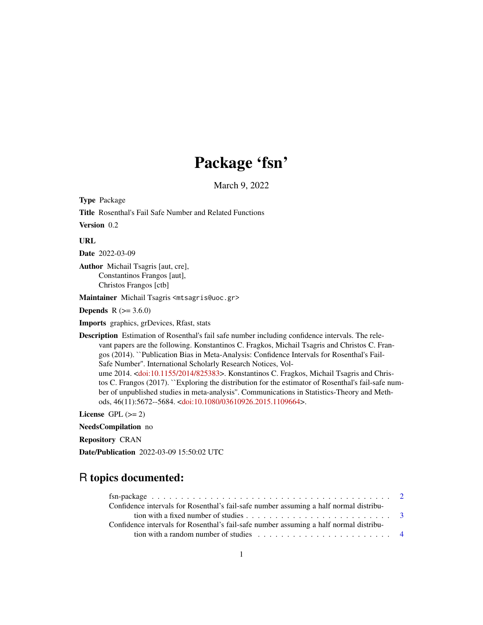# Package 'fsn'

March 9, 2022

Type Package

Title Rosenthal's Fail Safe Number and Related Functions

Version 0.2

URL

Date 2022-03-09

Author Michail Tsagris [aut, cre], Constantinos Frangos [aut], Christos Frangos [ctb]

Maintainer Michail Tsagris <mtsagris@uoc.gr>

**Depends**  $R$  ( $> = 3.6.0$ )

Imports graphics, grDevices, Rfast, stats

Description Estimation of Rosenthal's fail safe number including confidence intervals. The relevant papers are the following. Konstantinos C. Fragkos, Michail Tsagris and Christos C. Frangos (2014). ``Publication Bias in Meta-Analysis: Confidence Intervals for Rosenthal's Fail-Safe Number''. International Scholarly Research Notices, Volume 2014. [<doi:10.1155/2014/825383>](https://doi.org/10.1155/2014/825383). Konstantinos C. Fragkos, Michail Tsagris and Christos C. Frangos (2017). ``Exploring the distribution for the estimator of Rosenthal's fail-safe number of unpublished studies in meta-analysis''. Communications in Statistics-Theory and Methods, 46(11):5672--5684. [<doi:10.1080/03610926.2015.1109664>](https://doi.org/10.1080/03610926.2015.1109664).

License GPL  $(>= 2)$ 

NeedsCompilation no

Repository CRAN

Date/Publication 2022-03-09 15:50:02 UTC

# R topics documented:

| Confidence intervals for Rosenthal's fail-safe number assuming a half normal distribu-         |  |
|------------------------------------------------------------------------------------------------|--|
|                                                                                                |  |
| Confidence intervals for Rosenthal's fail-safe number assuming a half normal distribu-         |  |
| tion with a random number of studies $\ldots \ldots \ldots \ldots \ldots \ldots \ldots \ldots$ |  |
|                                                                                                |  |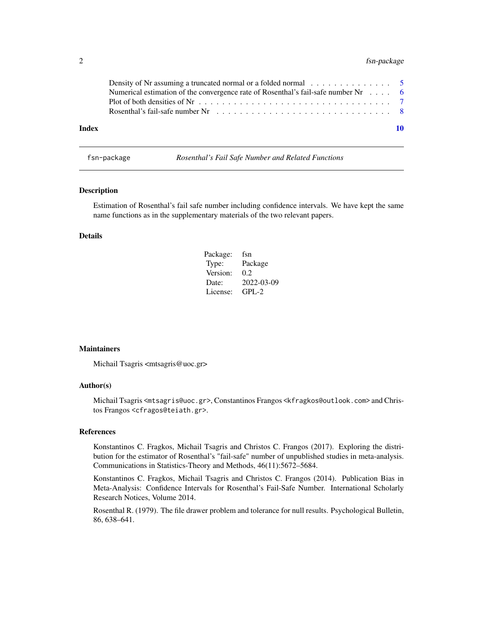# <span id="page-1-0"></span>2 fsn-package

|       | Numerical estimation of the convergence rate of Rosenthal's fail-safe number $Nr \dots$ 6 |    |
|-------|-------------------------------------------------------------------------------------------|----|
|       | Rosenthal's fail-safe number Nr $\ldots$ , , , , , , ,  8                                 |    |
| Index |                                                                                           | 10 |

fsn-package *Rosenthal's Fail Safe Number and Related Functions*

# Description

Estimation of Rosenthal's fail safe number including confidence intervals. We have kept the same name functions as in the supplementary materials of the two relevant papers.

# Details

| Package: | fsn        |
|----------|------------|
| Type:    | Package    |
| Version: | 0.2        |
| Date:    | 2022-03-09 |
| License: | $GPI - 2$  |

#### **Maintainers**

Michail Tsagris <mtsagris@uoc.gr>

# Author(s)

Michail Tsagris <mtsagris@uoc.gr>, Constantinos Frangos <kfragkos@outlook.com> and Christos Frangos <cfragos@teiath.gr>.

# References

Konstantinos C. Fragkos, Michail Tsagris and Christos C. Frangos (2017). Exploring the distribution for the estimator of Rosenthal's "fail-safe" number of unpublished studies in meta-analysis. Communications in Statistics-Theory and Methods, 46(11):5672–5684.

Konstantinos C. Fragkos, Michail Tsagris and Christos C. Frangos (2014). Publication Bias in Meta-Analysis: Confidence Intervals for Rosenthal's Fail-Safe Number. International Scholarly Research Notices, Volume 2014.

Rosenthal R. (1979). The file drawer problem and tolerance for null results. Psychological Bulletin, 86, 638–641.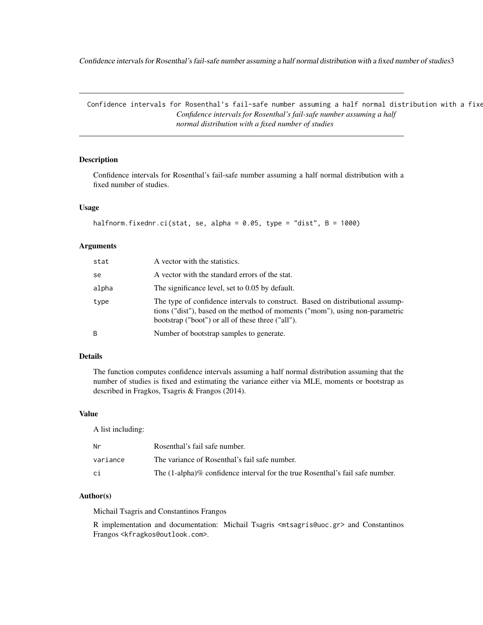<span id="page-2-0"></span>Confidence intervals for Rosenthal's fail-safe number assuming a half normal distribution with a fixed number of studies3

Confidence intervals for Rosenthal's fail-safe number assuming a half normal distribution with a fixe *Confidence intervals for Rosenthal's fail-safe number assuming a half normal distribution with a fixed number of studies*

#### <span id="page-2-1"></span>Description

Confidence intervals for Rosenthal's fail-safe number assuming a half normal distribution with a fixed number of studies.

# Usage

```
halfnorm.fixednr.ci(stat, se, alpha = 0.05, type = "dist", B = 1000)
```
#### Arguments

| stat  | A vector with the statistics.                                                                                                                                                                                       |
|-------|---------------------------------------------------------------------------------------------------------------------------------------------------------------------------------------------------------------------|
| se    | A vector with the standard errors of the stat.                                                                                                                                                                      |
| alpha | The significance level, set to 0.05 by default.                                                                                                                                                                     |
| type  | The type of confidence intervals to construct. Based on distributional assump-<br>tions ("dist"), based on the method of moments ("mom"), using non-parametric<br>bootstrap ("boot") or all of these three ("all"). |
| B     | Number of bootstrap samples to generate.                                                                                                                                                                            |

# Details

The function computes confidence intervals assuming a half normal distribution assuming that the number of studies is fixed and estimating the variance either via MLE, moments or bootstrap as described in Fragkos, Tsagris & Frangos (2014).

#### Value

A list including:

| Nr       | Rosenthal's fail safe number.                                                 |
|----------|-------------------------------------------------------------------------------|
| variance | The variance of Rosenthal's fail safe number.                                 |
| сi       | The (1-alpha)% confidence interval for the true Rosenthal's fail safe number. |

### Author(s)

Michail Tsagris and Constantinos Frangos

R implementation and documentation: Michail Tsagris <mtsagris@uoc.gr> and Constantinos Frangos <kfragkos@outlook.com>.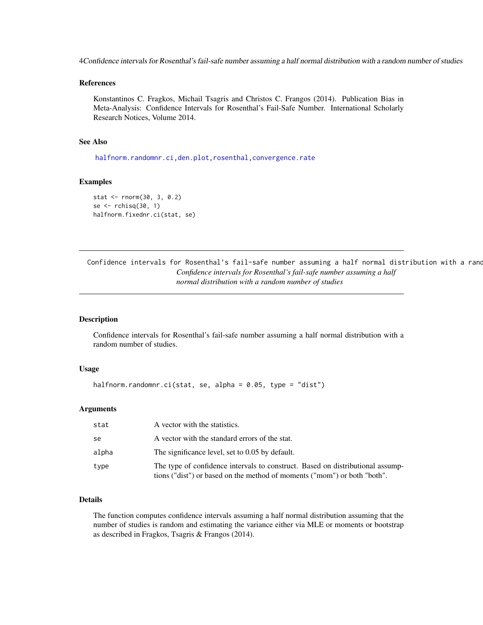<span id="page-3-0"></span>4Confidence intervals for Rosenthal's fail-safe number assuming a half normal distribution with a random number of studies

#### References

Konstantinos C. Fragkos, Michail Tsagris and Christos C. Frangos (2014). Publication Bias in Meta-Analysis: Confidence Intervals for Rosenthal's Fail-Safe Number. International Scholarly Research Notices, Volume 2014.

#### See Also

[halfnorm.randomnr.ci](#page-3-1)[,den.plot](#page-6-1)[,rosenthal](#page-7-1)[,convergence.rate](#page-5-1)

#### Examples

```
stat <- rnorm(30, 3, 0.2)
se \le- rchisq(30, 1)
halfnorm.fixednr.ci(stat, se)
```
Confidence intervals for Rosenthal's fail-safe number assuming a half normal distribution with a rand *Confidence intervals for Rosenthal's fail-safe number assuming a half normal distribution with a random number of studies*

#### <span id="page-3-1"></span>Description

Confidence intervals for Rosenthal's fail-safe number assuming a half normal distribution with a random number of studies.

#### Usage

```
halfnorm.randomnr.ci(stat, se, alpha = 0.05, type = "dist")
```
#### Arguments

| stat  | A vector with the statistics.                                                                                                                              |
|-------|------------------------------------------------------------------------------------------------------------------------------------------------------------|
| se    | A vector with the standard errors of the stat.                                                                                                             |
| alpha | The significance level, set to 0.05 by default.                                                                                                            |
| type  | The type of confidence intervals to construct. Based on distributional assump-<br>tions ("dist") or based on the method of moments ("mom") or both "both". |

# Details

The function computes confidence intervals assuming a half normal distribution assuming that the number of studies is random and estimating the variance either via MLE or moments or bootstrap as described in Fragkos, Tsagris & Frangos (2014).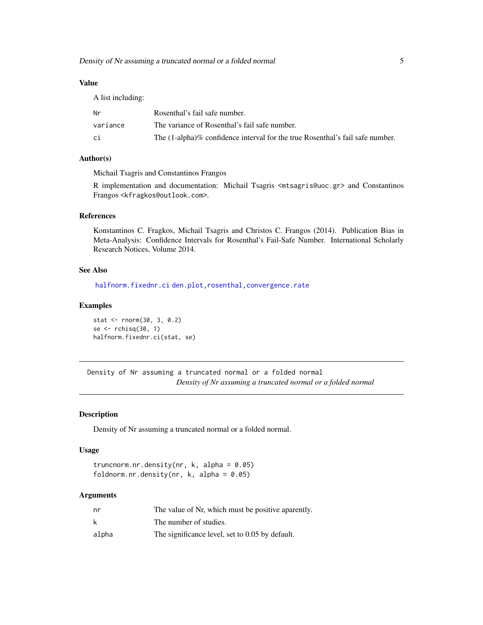# <span id="page-4-0"></span>Value

| A list including: |                                                                               |
|-------------------|-------------------------------------------------------------------------------|
| Nr                | Rosenthal's fail safe number.                                                 |
| variance          | The variance of Rosenthal's fail safe number.                                 |
| сi                | The (1-alpha)% confidence interval for the true Rosenthal's fail safe number. |

# Author(s)

Michail Tsagris and Constantinos Frangos

R implementation and documentation: Michail Tsagris <mtsagris@uoc.gr> and Constantinos Frangos <kfragkos@outlook.com>.

#### References

Konstantinos C. Fragkos, Michail Tsagris and Christos C. Frangos (2014). Publication Bias in Meta-Analysis: Confidence Intervals for Rosenthal's Fail-Safe Number. International Scholarly Research Notices, Volume 2014.

# See Also

[halfnorm.fixednr.ci](#page-2-1) [den.plot,](#page-6-1) [rosenthal,](#page-7-1) [convergence.rate](#page-5-1)

#### Examples

stat <- rnorm(30, 3, 0.2) se <- rchisq(30, 1) halfnorm.fixednr.ci(stat, se)

Density of Nr assuming a truncated normal or a folded normal *Density of Nr assuming a truncated normal or a folded normal*

#### <span id="page-4-1"></span>Description

Density of Nr assuming a truncated normal or a folded normal.

#### Usage

truncnorm.nr.density(nr,  $k$ , alpha =  $0.05$ ) foldnorm.nr.density(nr,  $k$ , alpha = 0.05)

| nr    | The value of Nr, which must be positive aparently. |
|-------|----------------------------------------------------|
| k     | The number of studies.                             |
| alpha | The significance level, set to 0.05 by default.    |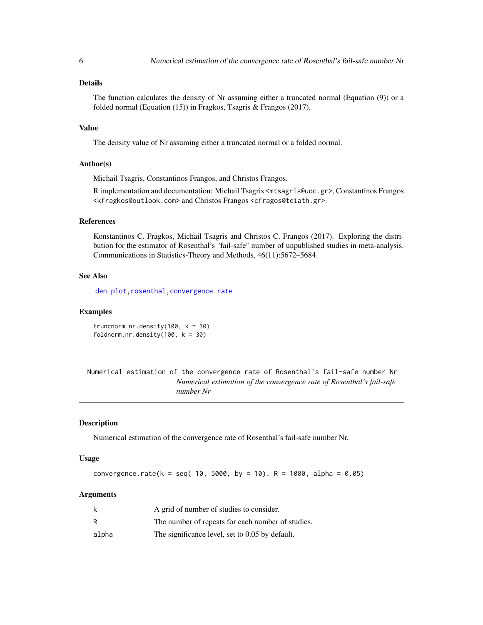<span id="page-5-0"></span>The function calculates the density of Nr assuming either a truncated normal (Equation (9)) or a folded normal (Equation (15)) in Fragkos, Tsagris & Frangos (2017).

#### Value

The density value of Nr assuming either a truncated normal or a folded normal.

#### Author(s)

Michail Tsagris, Constantinos Frangos, and Christos Frangos.

R implementation and documentation: Michail Tsagris <mtsagris@uoc.gr>, Constantinos Frangos <kfragkos@outlook.com> and Christos Frangos <cfragos@teiath.gr>.

# References

Konstantinos C. Fragkos, Michail Tsagris and Christos C. Frangos (2017). Exploring the distribution for the estimator of Rosenthal's "fail-safe" number of unpublished studies in meta-analysis. Communications in Statistics-Theory and Methods, 46(11):5672–5684.

# See Also

[den.plot,](#page-6-1) [rosenthal](#page-7-1), convergence.rate

#### Examples

truncnorm.nr.density(100,  $k = 30$ ) foldnorm.nr.density(100,  $k = 30$ )

Numerical estimation of the convergence rate of Rosenthal's fail-safe number Nr *Numerical estimation of the convergence rate of Rosenthal's fail-safe number Nr*

# <span id="page-5-1"></span>**Description**

Numerical estimation of the convergence rate of Rosenthal's fail-safe number Nr.

#### Usage

convergence.rate(k = seq( 10, 5000, by = 10), R = 1000, alpha =  $0.05$ )

| k     | A grid of number of studies to consider.          |
|-------|---------------------------------------------------|
| R     | The number of repeats for each number of studies. |
| alpha | The significance level, set to 0.05 by default.   |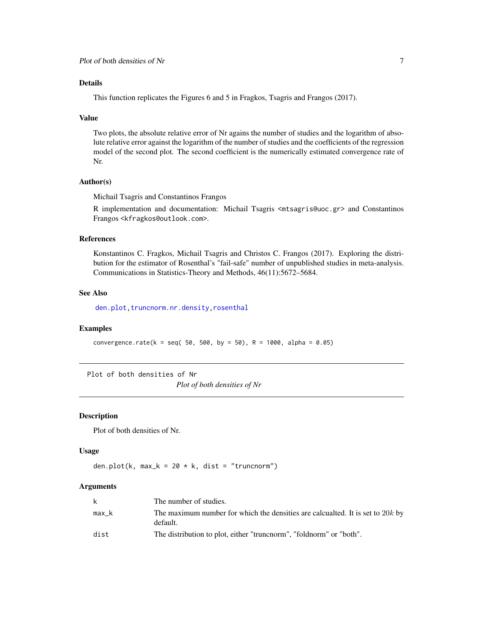<span id="page-6-0"></span>This function replicates the Figures 6 and 5 in Fragkos, Tsagris and Frangos (2017).

#### Value

Two plots, the absolute relative error of Nr agains the number of studies and the logarithm of absolute relative error against the logarithm of the number of studies and the coefficients of the regression model of the second plot. The second coefficient is the numerically estimated convergence rate of Nr.

# Author(s)

Michail Tsagris and Constantinos Frangos

R implementation and documentation: Michail Tsagris <mtsagris@uoc.gr> and Constantinos Frangos <kfragkos@outlook.com>.

# References

Konstantinos C. Fragkos, Michail Tsagris and Christos C. Frangos (2017). Exploring the distribution for the estimator of Rosenthal's "fail-safe" number of unpublished studies in meta-analysis. Communications in Statistics-Theory and Methods, 46(11):5672–5684.

#### See Also

[den.plot,](#page-6-1) [truncnorm.nr.density](#page-4-1), rosenthal

#### Examples

convergence.rate(k = seq( 50, 500, by = 50), R = 1000, alpha = 0.05)

Plot of both densities of Nr

*Plot of both densities of Nr*

#### <span id="page-6-1"></span>Description

Plot of both densities of Nr.

#### Usage

den.plot(k, max\_k = 20  $*$  k, dist = "truncnorm")

| k       | The number of studies.                                                                       |
|---------|----------------------------------------------------------------------------------------------|
| $max_k$ | The maximum number for which the densities are calcualted. It is set to $20k$ by<br>default. |
| dist    | The distribution to plot, either "truncnorm", "foldnorm" or "both".                          |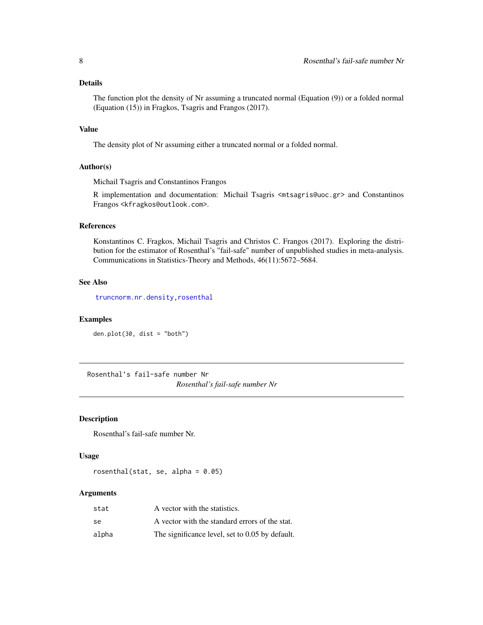<span id="page-7-0"></span>The function plot the density of Nr assuming a truncated normal (Equation (9)) or a folded normal (Equation (15)) in Fragkos, Tsagris and Frangos (2017).

# Value

The density plot of Nr assuming either a truncated normal or a folded normal.

#### Author(s)

Michail Tsagris and Constantinos Frangos

R implementation and documentation: Michail Tsagris <mtsagris@uoc.gr> and Constantinos Frangos <kfragkos@outlook.com>.

# References

Konstantinos C. Fragkos, Michail Tsagris and Christos C. Frangos (2017). Exploring the distribution for the estimator of Rosenthal's "fail-safe" number of unpublished studies in meta-analysis. Communications in Statistics-Theory and Methods, 46(11):5672–5684.

# See Also

[truncnorm.nr.density](#page-4-1)[,rosenthal](#page-7-1)

#### Examples

den.plot(30, dist = "both")

Rosenthal's fail-safe number Nr *Rosenthal's fail-safe number Nr*

#### <span id="page-7-1"></span>Description

Rosenthal's fail-safe number Nr.

# Usage

rosenthal(stat, se, alpha =  $0.05$ )

| stat  | A vector with the statistics.                   |
|-------|-------------------------------------------------|
| se    | A vector with the standard errors of the stat.  |
| alpha | The significance level, set to 0.05 by default. |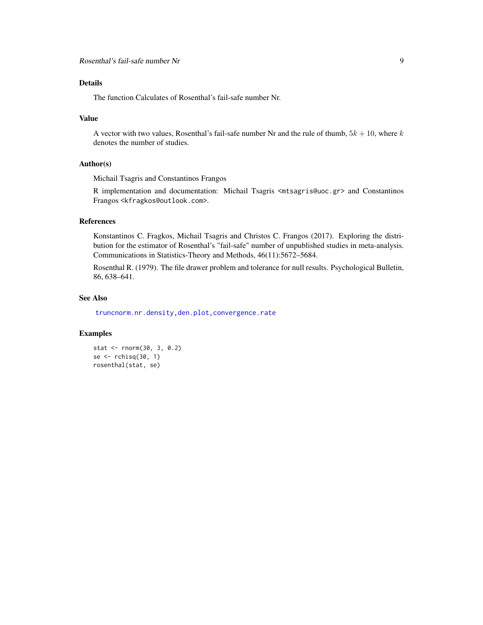<span id="page-8-0"></span>The function Calculates of Rosenthal's fail-safe number Nr.

#### Value

A vector with two values, Rosenthal's fail-safe number Nr and the rule of thumb,  $5k + 10$ , where k denotes the number of studies.

# Author(s)

Michail Tsagris and Constantinos Frangos

R implementation and documentation: Michail Tsagris <mtsagris@uoc.gr> and Constantinos Frangos <kfragkos@outlook.com>.

# References

Konstantinos C. Fragkos, Michail Tsagris and Christos C. Frangos (2017). Exploring the distribution for the estimator of Rosenthal's "fail-safe" number of unpublished studies in meta-analysis. Communications in Statistics-Theory and Methods, 46(11):5672–5684.

Rosenthal R. (1979). The file drawer problem and tolerance for null results. Psychological Bulletin, 86, 638–641.

#### See Also

[truncnorm.nr.density](#page-4-1)[,den.plot](#page-6-1)[,convergence.rate](#page-5-1)

# Examples

```
stat <- rnorm(30, 3, 0.2)
se <- rchisq(30, 1)
rosenthal(stat, se)
```